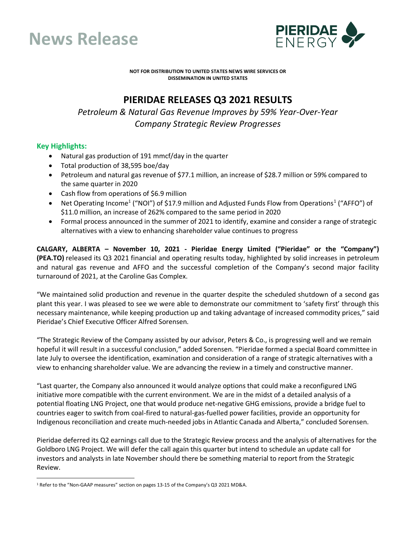



**NOT FOR DISTRIBUTION TO UNITED STATES NEWS WIRE SERVICES OR DISSEMINATION IN UNITED STATES**

# **PIERIDAE RELEASES Q3 2021 RESULTS**

*Petroleum & Natural Gas Revenue Improves by 59% Year-Over-Year Company Strategic Review Progresses*

# **Key Highlights:**

- Natural gas production of 191 mmcf/day in the quarter
- Total production of 38,595 boe/day
- Petroleum and natural gas revenue of \$77.1 million, an increase of \$28.7 million or 59% compared to the same quarter in 2020
- Cash flow from operations of \$6.9 million
- Net Operating Income<sup>[1](#page-0-0)</sup> ("NOI") of \$17.9 million and Adjusted Funds Flow from Operations<sup>1</sup> ("AFFO") of \$11.0 million, an increase of 262% compared to the same period in 2020
- Formal process announced in the summer of 2021 to identify, examine and consider a range of strategic alternatives with a view to enhancing shareholder value continues to progress

**CALGARY, ALBERTA – November 10, 2021 - Pieridae Energy Limited ("Pieridae" or the "Company") (PEA.TO)** released its Q3 2021 financial and operating results today, highlighted by solid increases in petroleum and natural gas revenue and AFFO and the successful completion of the Company's second major facility turnaround of 2021, at the Caroline Gas Complex.

"We maintained solid production and revenue in the quarter despite the scheduled shutdown of a second gas plant this year. I was pleased to see we were able to demonstrate our commitment to 'safety first' through this necessary maintenance, while keeping production up and taking advantage of increased commodity prices," said Pieridae's Chief Executive Officer Alfred Sorensen.

"The Strategic Review of the Company assisted by our advisor, Peters & Co., is progressing well and we remain hopeful it will result in a successful conclusion," added Sorensen. "Pieridae formed a special Board committee in late July to oversee the identification, examination and consideration of a range of strategic alternatives with a view to enhancing shareholder value. We are advancing the review in a timely and constructive manner.

"Last quarter, the Company also announced it would analyze options that could make a reconfigured LNG initiative more compatible with the current environment. We are in the midst of a detailed analysis of a potential floating LNG Project, one that would produce net-negative GHG emissions, provide a bridge fuel to countries eager to switch from coal-fired to natural-gas-fuelled power facilities, provide an opportunity for Indigenous reconciliation and create much-needed jobs in Atlantic Canada and Alberta," concluded Sorensen.

Pieridae deferred its Q2 earnings call due to the Strategic Review process and the analysis of alternatives for the Goldboro LNG Project. We will defer the call again this quarter but intend to schedule an update call for investors and analysts in late November should there be something material to report from the Strategic Review.

<span id="page-0-0"></span><sup>&</sup>lt;sup>1</sup> Refer to the "Non-GAAP measures" section on pages 13-15 of the Company's Q3 2021 MD&A.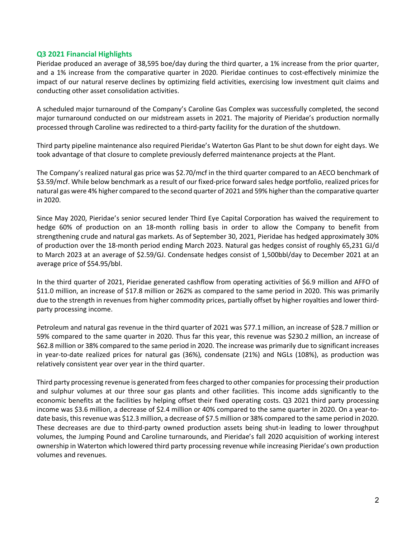# **Q3 2021 Financial Highlights**

Pieridae produced an average of 38,595 boe/day during the third quarter, a 1% increase from the prior quarter, and a 1% increase from the comparative quarter in 2020. Pieridae continues to cost-effectively minimize the impact of our natural reserve declines by optimizing field activities, exercising low investment quit claims and conducting other asset consolidation activities.

A scheduled major turnaround of the Company's Caroline Gas Complex was successfully completed, the second major turnaround conducted on our midstream assets in 2021. The majority of Pieridae's production normally processed through Caroline was redirected to a third-party facility for the duration of the shutdown.

Third party pipeline maintenance also required Pieridae's Waterton Gas Plant to be shut down for eight days. We took advantage of that closure to complete previously deferred maintenance projects at the Plant.

The Company's realized natural gas price was \$2.70/mcf in the third quarter compared to an AECO benchmark of \$3.59/mcf. While below benchmark as a result of our fixed-price forward sales hedge portfolio, realized prices for natural gas were 4% higher compared to the second quarter of 2021 and 59% higher than the comparative quarter in 2020.

Since May 2020, Pieridae's senior secured lender Third Eye Capital Corporation has waived the requirement to hedge 60% of production on an 18-month rolling basis in order to allow the Company to benefit from strengthening crude and natural gas markets. As of September 30, 2021, Pieridae has hedged approximately 30% of production over the 18-month period ending March 2023. Natural gas hedges consist of roughly 65,231 GJ/d to March 2023 at an average of \$2.59/GJ. Condensate hedges consist of 1,500bbl/day to December 2021 at an average price of \$54.95/bbl.

In the third quarter of 2021, Pieridae generated cashflow from operating activities of \$6.9 million and AFFO of \$11.0 million, an increase of \$17.8 million or 262% as compared to the same period in 2020. This was primarily due to the strength in revenues from higher commodity prices, partially offset by higher royalties and lower thirdparty processing income.

Petroleum and natural gas revenue in the third quarter of 2021 was \$77.1 million, an increase of \$28.7 million or 59% compared to the same quarter in 2020. Thus far this year, this revenue was \$230.2 million, an increase of \$62.8 million or 38% compared to the same period in 2020. The increase was primarily due to significant increases in year-to-date realized prices for natural gas (36%), condensate (21%) and NGLs (108%), as production was relatively consistent year over year in the third quarter.

Third party processing revenue is generated from fees charged to other companiesfor processing their production and sulphur volumes at our three sour gas plants and other facilities. This income adds significantly to the economic benefits at the facilities by helping offset their fixed operating costs. Q3 2021 third party processing income was \$3.6 million, a decrease of \$2.4 million or 40% compared to the same quarter in 2020. On a year-todate basis, thisrevenue was \$12.3 million, a decrease of \$7.5 million or 38% compared to the same period in 2020. These decreases are due to third-party owned production assets being shut-in leading to lower throughput volumes, the Jumping Pound and Caroline turnarounds, and Pieridae's fall 2020 acquisition of working interest ownership in Waterton which lowered third party processing revenue while increasing Pieridae's own production volumes and revenues.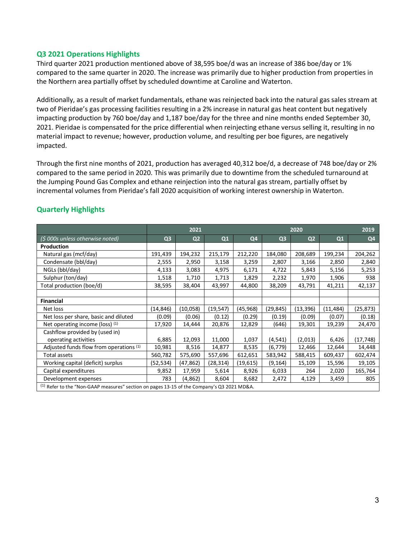## **Q3 2021 Operations Highlights**

Third quarter 2021 production mentioned above of 38,595 boe/d was an increase of 386 boe/day or 1% compared to the same quarter in 2020. The increase was primarily due to higher production from properties in the Northern area partially offset by scheduled downtime at Caroline and Waterton.

Additionally, as a result of market fundamentals, ethane was reinjected back into the natural gas sales stream at two of Pieridae's gas processing facilities resulting in a 2% increase in natural gas heat content but negatively impacting production by 760 boe/day and 1,187 boe/day for the three and nine months ended September 30, 2021. Pieridae is compensated for the price differential when reinjecting ethane versus selling it, resulting in no material impact to revenue; however, production volume, and resulting per boe figures, are negatively impacted.

Through the first nine months of 2021, production has averaged 40,312 boe/d, a decrease of 748 boe/day or 2% compared to the same period in 2020. This was primarily due to downtime from the scheduled turnaround at the Jumping Pound Gas Complex and ethane reinjection into the natural gas stream, partially offset by incremental volumes from Pieridae's fall 2020 acquisition of working interest ownership in Waterton.

|                                                                                                 | 2021           |                |           |           | 2020           |                |           | 2019           |
|-------------------------------------------------------------------------------------------------|----------------|----------------|-----------|-----------|----------------|----------------|-----------|----------------|
| (\$ 000s unless otherwise noted)                                                                | Q <sub>3</sub> | Q <sub>2</sub> | Q1        | Q4        | Q <sub>3</sub> | Q <sub>2</sub> | Q1        | Q <sub>4</sub> |
| Production                                                                                      |                |                |           |           |                |                |           |                |
| Natural gas (mcf/day)                                                                           | 191,439        | 194,232        | 215,179   | 212,220   | 184,080        | 208,689        | 199,234   | 204,262        |
| Condensate (bbl/day)                                                                            | 2,555          | 2,950          | 3,158     | 3,259     | 2,807          | 3,166          | 2,850     | 2,840          |
| NGLs (bbl/day)                                                                                  | 4,133          | 3,083          | 4,975     | 6,171     | 4,722          | 5,843          | 5,156     | 5,253          |
| Sulphur (ton/day)                                                                               | 1,518          | 1,710          | 1,713     | 1,829     | 2,232          | 1,970          | 1,906     | 938            |
| Total production (boe/d)                                                                        | 38,595         | 38,404         | 43,997    | 44,800    | 38,209         | 43,791         | 41,211    | 42,137         |
|                                                                                                 |                |                |           |           |                |                |           |                |
| <b>Financial</b>                                                                                |                |                |           |           |                |                |           |                |
| Net loss                                                                                        | (14, 846)      | (10,058)       | (19, 547) | (45,968)  | (29, 845)      | (13, 396)      | (11, 484) | (25,873)       |
| Net loss per share, basic and diluted                                                           | (0.09)         | (0.06)         | (0.12)    | (0.29)    | (0.19)         | (0.09)         | (0.07)    | (0.18)         |
| Net operating income (loss) (1)                                                                 | 17,920         | 14,444         | 20,876    | 12,829    | (646)          | 19,301         | 19,239    | 24,470         |
| Cashflow provided by (used in)                                                                  |                |                |           |           |                |                |           |                |
| operating activities                                                                            | 6,885          | 12,093         | 11,000    | 1,037     | (4, 541)       | (2,013)        | 6,426     | (17, 748)      |
| Adjusted funds flow from operations (1)                                                         | 10,981         | 8,516          | 14,877    | 8,535     | (6, 779)       | 12,466         | 12,644    | 14,448         |
| Total assets                                                                                    | 560,782        | 575,690        | 557,696   | 612,651   | 583,942        | 588,415        | 609,437   | 602,474        |
| Working capital (deficit) surplus                                                               | (52,534)       | (47,862)       | (28, 314) | (19, 615) | (9, 164)       | 15,109         | 15,596    | 19,105         |
| Capital expenditures                                                                            | 9,852          | 17,959         | 5,614     | 8,926     | 6,033          | 264            | 2,020     | 165,764        |
| Development expenses                                                                            | 783            | (4,862)        | 8,604     | 8,682     | 2,472          | 4,129          | 3,459     | 805            |
| $^{(1)}$ Refer to the "Non-GAAP measures" section on pages 13-15 of the Company's Q3 2021 MD&A. |                |                |           |           |                |                |           |                |

# **Quarterly Highlights**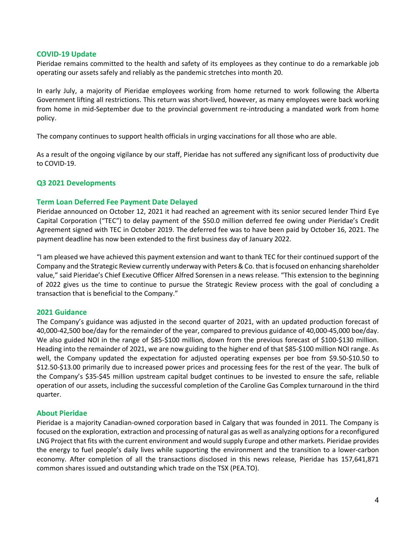#### **COVID-19 Update**

Pieridae remains committed to the health and safety of its employees as they continue to do a remarkable job operating our assets safely and reliably as the pandemic stretches into month 20.

In early July, a majority of Pieridae employees working from home returned to work following the Alberta Government lifting all restrictions. This return was short-lived, however, as many employees were back working from home in mid-September due to the provincial government re-introducing a mandated work from home policy.

The company continues to support health officials in urging vaccinations for all those who are able.

As a result of the ongoing vigilance by our staff, Pieridae has not suffered any significant loss of productivity due to COVID-19.

# **Q3 2021 Developments**

#### **Term Loan Deferred Fee Payment Date Delayed**

Pieridae announced on October 12, 2021 it had reached an agreement with its senior secured lender Third Eye Capital Corporation ("TEC") to delay payment of the \$50.0 million deferred fee owing under Pieridae's Credit Agreement signed with TEC in October 2019. The deferred fee was to have been paid by October 16, 2021. The payment deadline has now been extended to the first business day of January 2022.

"I am pleased we have achieved this payment extension and want to thank TEC for their continued support of the Company and the Strategic Review currently underway with Peters & Co. that is focused on enhancing shareholder value," said Pieridae's Chief Executive Officer Alfred Sorensen in a news release. "This extension to the beginning of 2022 gives us the time to continue to pursue the Strategic Review process with the goal of concluding a transaction that is beneficial to the Company."

#### **2021 Guidance**

The Company's guidance was adjusted in the second quarter of 2021, with an updated production forecast of 40,000-42,500 boe/day for the remainder of the year, compared to previous guidance of 40,000-45,000 boe/day. We also guided NOI in the range of \$85-\$100 million, down from the previous forecast of \$100-\$130 million. Heading into the remainder of 2021, we are now guiding to the higher end of that \$85-\$100 million NOI range. As well, the Company updated the expectation for adjusted operating expenses per boe from \$9.50-\$10.50 to \$12.50-\$13.00 primarily due to increased power prices and processing fees for the rest of the year. The bulk of the Company's \$35-\$45 million upstream capital budget continues to be invested to ensure the safe, reliable operation of our assets, including the successful completion of the Caroline Gas Complex turnaround in the third quarter.

#### **About Pieridae**

Pieridae is a majority Canadian-owned corporation based in Calgary that was founded in 2011. The Company is focused on the exploration, extraction and processing of natural gas as well as analyzing options for a reconfigured LNG Project that fits with the current environment and would supply Europe and other markets. Pieridae provides the energy to fuel people's daily lives while supporting the environment and the transition to a lower-carbon economy. After completion of all the transactions disclosed in this news release, Pieridae has 157,641,871 common shares issued and outstanding which trade on the TSX (PEA.TO).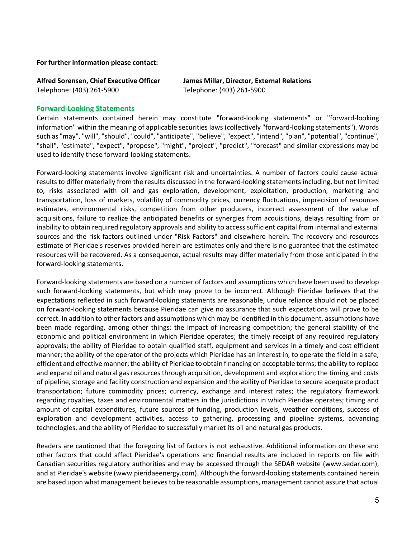**For further information please contact:**

Telephone: (403) 261-5900 Telephone: (403) 261-5900

**Alfred Sorensen, Chief Executive Officer James Millar, Director, External Relations**

#### **Forward-Looking Statements**

Certain statements contained herein may constitute "forward-looking statements" or "forward-looking information" within the meaning of applicable securities laws (collectively "forward-looking statements"). Words such as "may", "will", "should", "could", "anticipate", "believe", "expect", "intend", "plan", "potential", "continue", "shall", "estimate", "expect", "propose", "might", "project", "predict", "forecast" and similar expressions may be used to identify these forward-looking statements.

Forward-looking statements involve significant risk and uncertainties. A number of factors could cause actual results to differ materially from the results discussed in the forward-looking statements including, but not limited to, risks associated with oil and gas exploration, development, exploitation, production, marketing and transportation, loss of markets, volatility of commodity prices, currency fluctuations, imprecision of resources estimates, environmental risks, competition from other producers, incorrect assessment of the value of acquisitions, failure to realize the anticipated benefits or synergies from acquisitions, delays resulting from or inability to obtain required regulatory approvals and ability to access sufficient capital from internal and external sources and the risk factors outlined under "Risk Factors" and elsewhere herein. The recovery and resources estimate of Pieridae's reserves provided herein are estimates only and there is no guarantee that the estimated resources will be recovered. As a consequence, actual results may differ materially from those anticipated in the forward-looking statements.

Forward-looking statements are based on a number of factors and assumptions which have been used to develop such forward-looking statements, but which may prove to be incorrect. Although Pieridae believes that the expectations reflected in such forward-looking statements are reasonable, undue reliance should not be placed on forward-looking statements because Pieridae can give no assurance that such expectations will prove to be correct. In addition to other factors and assumptions which may be identified in this document, assumptions have been made regarding, among other things: the impact of increasing competition; the general stability of the economic and political environment in which Pieridae operates; the timely receipt of any required regulatory approvals; the ability of Pieridae to obtain qualified staff, equipment and services in a timely and cost efficient manner; the ability of the operator of the projects which Pieridae has an interest in, to operate the field in a safe, efficient and effective manner; the ability of Pieridae to obtain financing on acceptable terms; the ability to replace and expand oil and natural gas resources through acquisition, development and exploration; the timing and costs of pipeline, storage and facility construction and expansion and the ability of Pieridae to secure adequate product transportation; future commodity prices; currency, exchange and interest rates; the regulatory framework regarding royalties, taxes and environmental matters in the jurisdictions in which Pieridae operates; timing and amount of capital expenditures, future sources of funding, production levels, weather conditions, success of exploration and development activities, access to gathering, processing and pipeline systems, advancing technologies, and the ability of Pieridae to successfully market its oil and natural gas products.

Readers are cautioned that the foregoing list of factors is not exhaustive. Additional information on these and other factors that could affect Pieridae's operations and financial results are included in reports on file with Canadian securities regulatory authorities and may be accessed through the SEDAR website (www.sedar.com), and at Pieridae's website (www.pieridaeenergy.com). Although the forward-looking statements contained herein are based upon what management believes to be reasonable assumptions, management cannot assure that actual